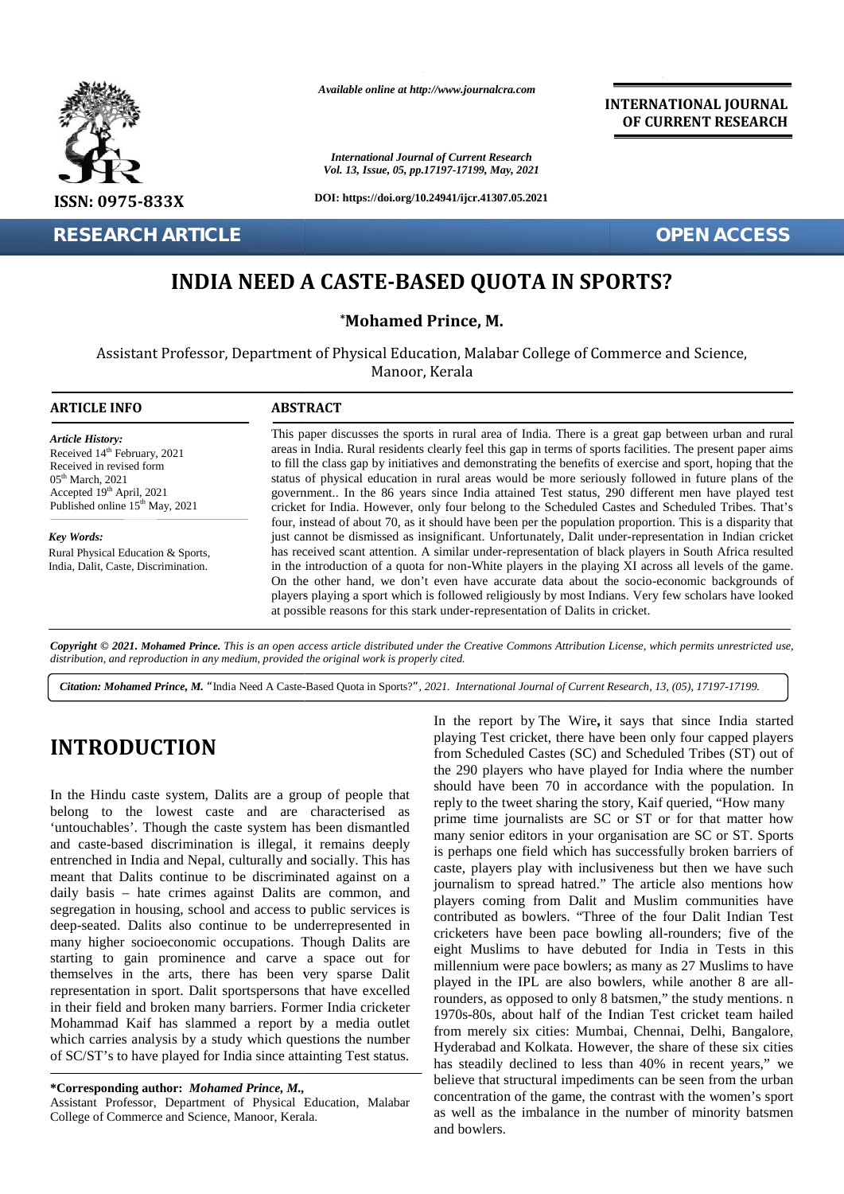

*Available online at http://www.journalcra.com*

**INTERNATIONAL JOURNAL OF CURRENT RESEARCH**

## **INDIA NEED A CASTE-BASED QUOTA IN SPORTS?**

|                                                                                                                                                                                                                                                                                                                                                                                                                                                                                                                                                                                                                                                                                                                                                                                                                                                                                                                                                                                                                                                                                                                                |                                                                                                                                                                                                                                                                                                                                                                                                                                                                                                                                                                                                                                                                                                                                                               | <b>International Journal of Current Research</b><br>Vol. 13, Issue, 05, pp.17197-17199, May, 2021                                                                                                                                                                                                                                                                                                                                                                                                                                                                                                                                                                                                                                                                                                                                                                                                                                                                                                                                                                                                                                                                                                                                                                                                                                                                                                                                           |
|--------------------------------------------------------------------------------------------------------------------------------------------------------------------------------------------------------------------------------------------------------------------------------------------------------------------------------------------------------------------------------------------------------------------------------------------------------------------------------------------------------------------------------------------------------------------------------------------------------------------------------------------------------------------------------------------------------------------------------------------------------------------------------------------------------------------------------------------------------------------------------------------------------------------------------------------------------------------------------------------------------------------------------------------------------------------------------------------------------------------------------|---------------------------------------------------------------------------------------------------------------------------------------------------------------------------------------------------------------------------------------------------------------------------------------------------------------------------------------------------------------------------------------------------------------------------------------------------------------------------------------------------------------------------------------------------------------------------------------------------------------------------------------------------------------------------------------------------------------------------------------------------------------|---------------------------------------------------------------------------------------------------------------------------------------------------------------------------------------------------------------------------------------------------------------------------------------------------------------------------------------------------------------------------------------------------------------------------------------------------------------------------------------------------------------------------------------------------------------------------------------------------------------------------------------------------------------------------------------------------------------------------------------------------------------------------------------------------------------------------------------------------------------------------------------------------------------------------------------------------------------------------------------------------------------------------------------------------------------------------------------------------------------------------------------------------------------------------------------------------------------------------------------------------------------------------------------------------------------------------------------------------------------------------------------------------------------------------------------------|
| ISSN: 0975-833X                                                                                                                                                                                                                                                                                                                                                                                                                                                                                                                                                                                                                                                                                                                                                                                                                                                                                                                                                                                                                                                                                                                |                                                                                                                                                                                                                                                                                                                                                                                                                                                                                                                                                                                                                                                                                                                                                               | DOI: https://doi.org/10.24941/ijcr.41307.05.2021                                                                                                                                                                                                                                                                                                                                                                                                                                                                                                                                                                                                                                                                                                                                                                                                                                                                                                                                                                                                                                                                                                                                                                                                                                                                                                                                                                                            |
| <b>RESEARCH ARTICLE</b>                                                                                                                                                                                                                                                                                                                                                                                                                                                                                                                                                                                                                                                                                                                                                                                                                                                                                                                                                                                                                                                                                                        |                                                                                                                                                                                                                                                                                                                                                                                                                                                                                                                                                                                                                                                                                                                                                               | <b>OPEN ACCESS</b>                                                                                                                                                                                                                                                                                                                                                                                                                                                                                                                                                                                                                                                                                                                                                                                                                                                                                                                                                                                                                                                                                                                                                                                                                                                                                                                                                                                                                          |
|                                                                                                                                                                                                                                                                                                                                                                                                                                                                                                                                                                                                                                                                                                                                                                                                                                                                                                                                                                                                                                                                                                                                |                                                                                                                                                                                                                                                                                                                                                                                                                                                                                                                                                                                                                                                                                                                                                               | <b>INDIA NEED A CASTE-BASED QUOTA IN SPORTS?</b>                                                                                                                                                                                                                                                                                                                                                                                                                                                                                                                                                                                                                                                                                                                                                                                                                                                                                                                                                                                                                                                                                                                                                                                                                                                                                                                                                                                            |
|                                                                                                                                                                                                                                                                                                                                                                                                                                                                                                                                                                                                                                                                                                                                                                                                                                                                                                                                                                                                                                                                                                                                |                                                                                                                                                                                                                                                                                                                                                                                                                                                                                                                                                                                                                                                                                                                                                               | *Mohamed Prince, M.                                                                                                                                                                                                                                                                                                                                                                                                                                                                                                                                                                                                                                                                                                                                                                                                                                                                                                                                                                                                                                                                                                                                                                                                                                                                                                                                                                                                                         |
|                                                                                                                                                                                                                                                                                                                                                                                                                                                                                                                                                                                                                                                                                                                                                                                                                                                                                                                                                                                                                                                                                                                                |                                                                                                                                                                                                                                                                                                                                                                                                                                                                                                                                                                                                                                                                                                                                                               | Assistant Professor, Department of Physical Education, Malabar College of Commerce and Science,<br>Manoor, Kerala                                                                                                                                                                                                                                                                                                                                                                                                                                                                                                                                                                                                                                                                                                                                                                                                                                                                                                                                                                                                                                                                                                                                                                                                                                                                                                                           |
| <b>ARTICLE INFO</b>                                                                                                                                                                                                                                                                                                                                                                                                                                                                                                                                                                                                                                                                                                                                                                                                                                                                                                                                                                                                                                                                                                            | <b>ABSTRACT</b>                                                                                                                                                                                                                                                                                                                                                                                                                                                                                                                                                                                                                                                                                                                                               |                                                                                                                                                                                                                                                                                                                                                                                                                                                                                                                                                                                                                                                                                                                                                                                                                                                                                                                                                                                                                                                                                                                                                                                                                                                                                                                                                                                                                                             |
| <b>Article History:</b><br>Received 14 <sup>th</sup> February, 2021<br>Received in revised form<br>$05th$ March, 2021<br>Accepted 19th April, 2021<br>Published online 15 <sup>th</sup> May, 2021                                                                                                                                                                                                                                                                                                                                                                                                                                                                                                                                                                                                                                                                                                                                                                                                                                                                                                                              | This paper discusses the sports in rural area of India. There is a great gap between urban and rural<br>areas in India. Rural residents clearly feel this gap in terms of sports facilities. The present paper aims<br>to fill the class gap by initiatives and demonstrating the benefits of exercise and sport, hoping that the<br>status of physical education in rural areas would be more seriously followed in future plans of the<br>government In the 86 years since India attained Test status, 290 different men have played test<br>cricket for India. However, only four belong to the Scheduled Castes and Scheduled Tribes. That's<br>four, instead of about 70, as it should have been per the population proportion. This is a disparity that |                                                                                                                                                                                                                                                                                                                                                                                                                                                                                                                                                                                                                                                                                                                                                                                                                                                                                                                                                                                                                                                                                                                                                                                                                                                                                                                                                                                                                                             |
| <b>Key Words:</b><br>Rural Physical Education & Sports,<br>India, Dalit, Caste, Discrimination.                                                                                                                                                                                                                                                                                                                                                                                                                                                                                                                                                                                                                                                                                                                                                                                                                                                                                                                                                                                                                                | just cannot be dismissed as insignificant. Unfortunately, Dalit under-representation in Indian cricket<br>has received scant attention. A similar under-representation of black players in South Africa resulted<br>in the introduction of a quota for non-White players in the playing XI across all levels of the game.<br>On the other hand, we don't even have accurate data about the socio-economic backgrounds of<br>players playing a sport which is followed religiously by most Indians. Very few scholars have looked<br>at possible reasons for this stark under-representation of Dalits in cricket.                                                                                                                                             |                                                                                                                                                                                                                                                                                                                                                                                                                                                                                                                                                                                                                                                                                                                                                                                                                                                                                                                                                                                                                                                                                                                                                                                                                                                                                                                                                                                                                                             |
| distribution, and reproduction in any medium, provided the original work is properly cited.                                                                                                                                                                                                                                                                                                                                                                                                                                                                                                                                                                                                                                                                                                                                                                                                                                                                                                                                                                                                                                    |                                                                                                                                                                                                                                                                                                                                                                                                                                                                                                                                                                                                                                                                                                                                                               | Copyright © 2021. Mohamed Prince. This is an open access article distributed under the Creative Commons Attribution License, which permits unrestricted use,<br>Citation: Mohamed Prince, M. "India Need A Caste-Based Quota in Sports?", 2021. International Journal of Current Research, 13, (05), 17197-17199.                                                                                                                                                                                                                                                                                                                                                                                                                                                                                                                                                                                                                                                                                                                                                                                                                                                                                                                                                                                                                                                                                                                           |
| <b>INTRODUCTION</b><br>In the Hindu caste system, Dalits are a group of people that<br>belong to the lowest caste and are characterised as<br>'untouchables'. Though the caste system has been dismantled<br>and caste-based discrimination is illegal, it remains deeply<br>entrenched in India and Nepal, culturally and socially. This has<br>meant that Dalits continue to be discriminated against on a<br>daily basis - hate crimes against Dalits are common, and<br>segregation in housing, school and access to public services is<br>deep-seated. Dalits also continue to be underrepresented in<br>many higher socioeconomic occupations. Though Dalits are<br>starting to gain prominence and carve a space out for<br>themselves in the arts, there has been very sparse Dalit<br>representation in sport. Dalit sportspersons that have excelled<br>in their field and broken many barriers. Former India cricketer<br>Mohammad Kaif has slammed a report by a media outlet<br>which carries analysis by a study which questions the number<br>of SC/ST's to have played for India since attainting Test status. |                                                                                                                                                                                                                                                                                                                                                                                                                                                                                                                                                                                                                                                                                                                                                               | In the report by The Wire, it says that since India started<br>playing Test cricket, there have been only four capped players<br>from Scheduled Castes (SC) and Scheduled Tribes (ST) out of<br>the 290 players who have played for India where the number<br>should have been 70 in accordance with the population. In<br>reply to the tweet sharing the story, Kaif queried, "How many<br>prime time journalists are SC or ST or for that matter how<br>many senior editors in your organisation are SC or ST. Sports<br>is perhaps one field which has successfully broken barriers of<br>caste, players play with inclusiveness but then we have such<br>journalism to spread hatred." The article also mentions how<br>players coming from Dalit and Muslim communities have<br>contributed as bowlers. "Three of the four Dalit Indian Test<br>cricketers have been pace bowling all-rounders; five of the<br>eight Muslims to have debuted for India in Tests in this<br>millennium were pace bowlers; as many as 27 Muslims to have<br>played in the IPL are also bowlers, while another 8 are all-<br>rounders, as opposed to only 8 batsmen," the study mentions. n<br>1970s-80s, about half of the Indian Test cricket team hailed<br>from merely six cities: Mumbai, Chennai, Delhi, Bangalore,<br>Hyderabad and Kolkata. However, the share of these six cities<br>has steadily declined to less than 40% in recent years," we |
| *Corresponding author: Mohamed Prince, M.,<br>Assistant Professor, Department of Physical Education, Malabar<br>College of Commerce and Science. Manoor. Kerala.                                                                                                                                                                                                                                                                                                                                                                                                                                                                                                                                                                                                                                                                                                                                                                                                                                                                                                                                                               |                                                                                                                                                                                                                                                                                                                                                                                                                                                                                                                                                                                                                                                                                                                                                               | believe that structural impediments can be seen from the urban<br>concentration of the game, the contrast with the women's sport<br>as well as the imbalance in the number of minority batsmen                                                                                                                                                                                                                                                                                                                                                                                                                                                                                                                                                                                                                                                                                                                                                                                                                                                                                                                                                                                                                                                                                                                                                                                                                                              |

# **INTRODUCTION INTRODUCTION**

Assistant Professor, Department of Physical Education, Malabar College of Commerce and Science, Manoor, Kerala.

In the report by The Wire**,** it says that since India started playing Test cricket, there have been only four capped players from Scheduled Castes (SC) and Scheduled Tribes (ST) out of the 290 players who have played for India where the number should have been 70 in accordance with the population. In reply to the tweet sharing the story, Kaif queried, "How many prime time journalists are SC or ST or for that matter how many senior editors in your organisation are SC or ST. Sports is perhaps one field which has successfully broken barriers of caste, players play with inclusiveness but then we have such journalism to spread hatred." The article also mentions how players coming from Dalit and Muslim communities have contributed as bowlers. "Three of the four Dalit Indian Test cricketers have been pace bowling all-rounders; five of the eight Muslims to have debuted for India in Tests in this millennium were pace bowlers; as many as 27 Muslims to have played in the IPL are also bowlers, while another 8 are allrounders, as opposed to only 8 batsmen," the study mentions. n 1970s-80s, about half of the Indian Test cricket team hailed from merely six cities: Mumbai, Chennai, Delhi, Bangalore, 1970s-80s, about half of the Indian Test cricket team hailed<br>from merely six cities: Mumbai, Chennai, Delhi, Bangalore,<br>Hyderabad and Kolkata. However, the share of these six cities has steadily declined to less than 40% in recent years," we believe that structural impediments can be seen from the urban has steadily declined to less than 40% in recent years," we believe that structural impediments can be seen from the urban concentration of the game, the contrast with the women's sport as well as the imbalance in the number of minority batsmen and bowlers. **INTRODUCTION**<br>
In the report by The weight as successfully discusses the mass change of the set and a step of the set and scheduled Castes (SC) and Scheduled Tribes (ST) out of<br>
In the Hindu caste system, Dalits are a gr players coming from Dalit and Muslim commun<br>contributed as bowlers. "Three of the four Dalit In<br>cricketers have been pace bowling all-rounders; f<br>eight Muslims to have debuted for India in Tes<br>millennium were pace bowlers;

**<sup>\*</sup>Corresponding author:** *Mohamed Prince, M.,* **\*Corresponding** *Mohamed Prince, M.,*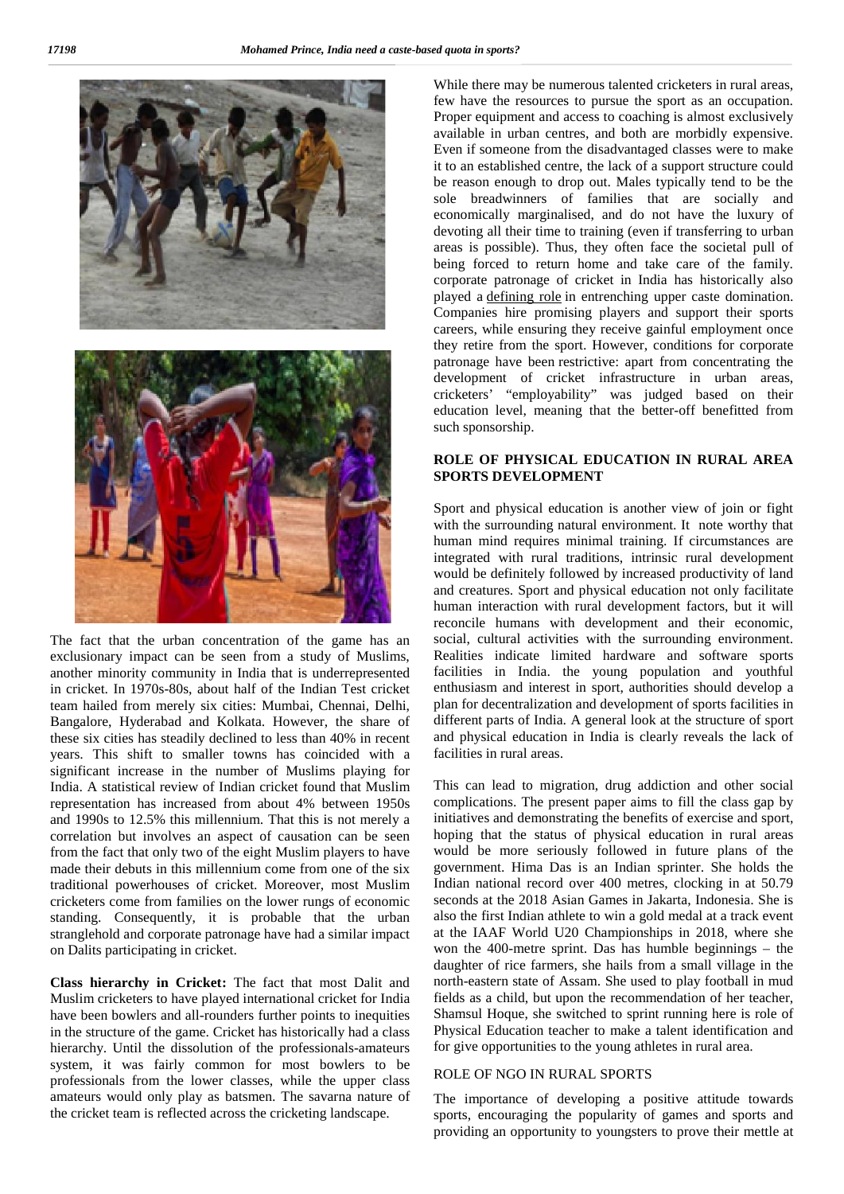

The fact that the urban concentration of the game has an exclusionary impact can be seen from a study of Muslims, another minority community in India that is underrepresented in cricket. In 1970s-80s, about half of the Indian Test cricket team hailed from merely six cities: Mumbai, Chennai, Delhi, Bangalore, Hyderabad and Kolkata. However, the share of these six cities has steadily declined to less than 40% in recent years. This shift to smaller towns has coincided with a significant increase in the number of Muslims playing for India. A statistical review of Indian cricket found that Muslim representation has increased from about 4% between 1950s and 1990s to 12.5% this millennium. That this is not merely a correlation but involves an aspect of causation can be seen from the fact that only two of the eight Muslim players to have made their debuts in this millennium come from one of the six traditional powerhouses of cricket. Moreover, most Muslim cricketers come from families on the lower rungs of economic standing. Consequently, it is probable that the urban stranglehold and corporate patronage have had a similar impact on Dalits participating in cricket.

**Class hierarchy in Cricket:** The fact that most Dalit and Muslim cricketers to have played international cricket for India have been bowlers and all-rounders further points to inequities in the structure of the game. Cricket has historically had a class hierarchy. Until the dissolution of the professionals-amateurs system, it was fairly common for most bowlers to be professionals from the lower classes, while the upper class amateurs would only play as batsmen. The savarna nature of the cricket team is reflected across the cricketing landscape.

While there may be numerous talented cricketers in rural areas, few have the resources to pursue the sport as an occupation. Proper equipment and access to coaching is almost exclusively available in urban centres, and both are morbidly expensive. Even if someone from the disadvantaged classes were to make it to an established centre, the lack of a support structure could be reason enough to drop out. Males typically tend to be the sole breadwinners of families that are socially and economically marginalised, and do not have the luxury of devoting all their time to training (even if transferring to urban areas is possible). Thus, they often face the societal pull of being forced to return home and take care of the family. corporate patronage of cricket in India has historically also played a defining role in entrenching upper caste domination. Companies hire promising players and support their sports careers, while ensuring they receive gainful employment once they retire from the sport. However, conditions for corporate patronage have been restrictive: apart from concentrating the development of cricket infrastructure in urban areas, cricketers' "employability" was judged based on their education level, meaning that the better-off benefitted from such sponsorship.

## **ROLE OF PHYSICAL EDUCATION IN RURAL AREA SPORTS DEVELOPMENT**

Sport and physical education is another view of join or fight with the surrounding natural environment. It note worthy that human mind requires minimal training. If circumstances are integrated with rural traditions, intrinsic rural development would be definitely followed by increased productivity of land and creatures. Sport and physical education not only facilitate human interaction with rural development factors, but it will reconcile humans with development and their economic, social, cultural activities with the surrounding environment. Realities indicate limited hardware and software sports facilities in India. the young population and youthful enthusiasm and interest in sport, authorities should develop a plan for decentralization and development of sports facilities in different parts of India. A general look at the structure of sport and physical education in India is clearly reveals the lack of facilities in rural areas.

This can lead to migration, drug addiction and other social complications. The present paper aims to fill the class gap by initiatives and demonstrating the benefits of exercise and sport, hoping that the status of physical education in rural areas would be more seriously followed in future plans of the government. Hima Das is an Indian sprinter. She holds the Indian national record over 400 metres, clocking in at 50.79 seconds at the 2018 Asian Games in Jakarta, Indonesia. She is also the first Indian athlete to win a gold medal at a track event at the IAAF World U20 Championships in 2018, where she won the 400-metre sprint. Das has humble beginnings – the daughter of rice farmers, she hails from a small village in the north-eastern state of Assam. She used to play football in mud fields as a child, but upon the recommendation of her teacher, Shamsul Hoque, she switched to sprint running here is role of Physical Education teacher to make a talent identification and for give opportunities to the young athletes in rural area.

#### ROLE OF NGO IN RURAL SPORTS

The importance of developing a positive attitude towards sports, encouraging the popularity of games and sports and providing an opportunity to youngsters to prove their mettle at